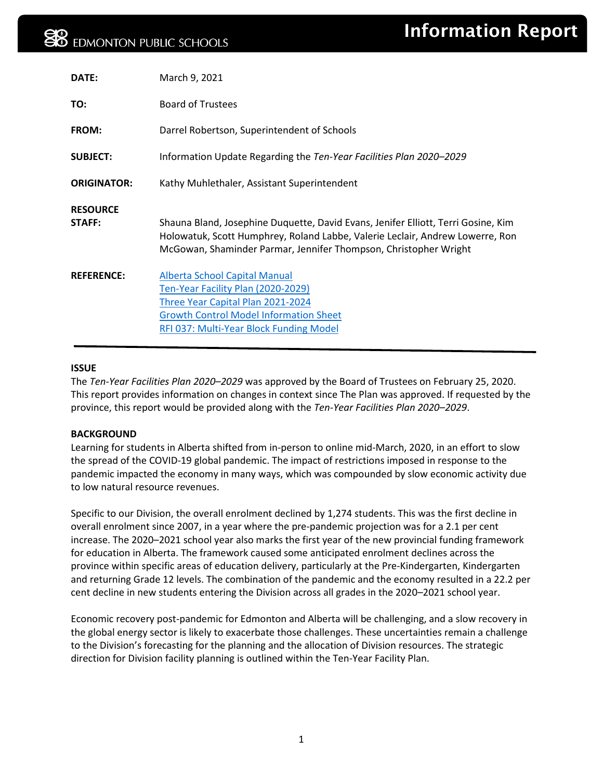| DATE:                     | March 9, 2021                                                                                                                                                                                                                          |
|---------------------------|----------------------------------------------------------------------------------------------------------------------------------------------------------------------------------------------------------------------------------------|
| TO:                       | <b>Board of Trustees</b>                                                                                                                                                                                                               |
| FROM:                     | Darrel Robertson, Superintendent of Schools                                                                                                                                                                                            |
| <b>SUBJECT:</b>           | Information Update Regarding the Ten-Year Facilities Plan 2020–2029                                                                                                                                                                    |
| <b>ORIGINATOR:</b>        | Kathy Muhlethaler, Assistant Superintendent                                                                                                                                                                                            |
| <b>RESOURCE</b><br>STAFF: | Shauna Bland, Josephine Duquette, David Evans, Jenifer Elliott, Terri Gosine, Kim<br>Holowatuk, Scott Humphrey, Roland Labbe, Valerie Leclair, Andrew Lowerre, Ron<br>McGowan, Shaminder Parmar, Jennifer Thompson, Christopher Wright |
| <b>REFERENCE:</b>         | <b>Alberta School Capital Manual</b><br>Ten-Year Facility Plan (2020-2029)<br>Three Year Capital Plan 2021-2024<br><b>Growth Control Model Information Sheet</b><br>RFI 037: Multi-Year Block Funding Model                            |

# **ISSUE**

The *Ten-Year Facilities Plan 2020–2029* was approved by the Board of Trustees on February 25, 2020. This report provides information on changes in context since The Plan was approved. If requested by the province, this report would be provided along with the *Ten-Year Facilities Plan 2020–2029*.

# **BACKGROUND**

Learning for students in Alberta shifted from in-person to online mid-March, 2020, in an effort to slow the spread of the COVID-19 global pandemic. The impact of restrictions imposed in response to the pandemic impacted the economy in many ways, which was compounded by slow economic activity due to low natural resource revenues.

Specific to our Division, the overall enrolment declined by 1,274 students. This was the first decline in overall enrolment since 2007, in a year where the pre-pandemic projection was for a 2.1 per cent increase. The 2020–2021 school year also marks the first year of the new provincial funding framework for education in Alberta. The framework caused some anticipated enrolment declines across the province within specific areas of education delivery, particularly at the Pre-Kindergarten, Kindergarten and returning Grade 12 levels. The combination of the pandemic and the economy resulted in a 22.2 per cent decline in new students entering the Division across all grades in the 2020–2021 school year.

Economic recovery post-pandemic for Edmonton and Alberta will be challenging, and a slow recovery in the global energy sector is likely to exacerbate those challenges. These uncertainties remain a challenge to the Division's forecasting for the planning and the allocation of Division resources. The strategic direction for Division facility planning is outlined within the Ten-Year Facility Plan.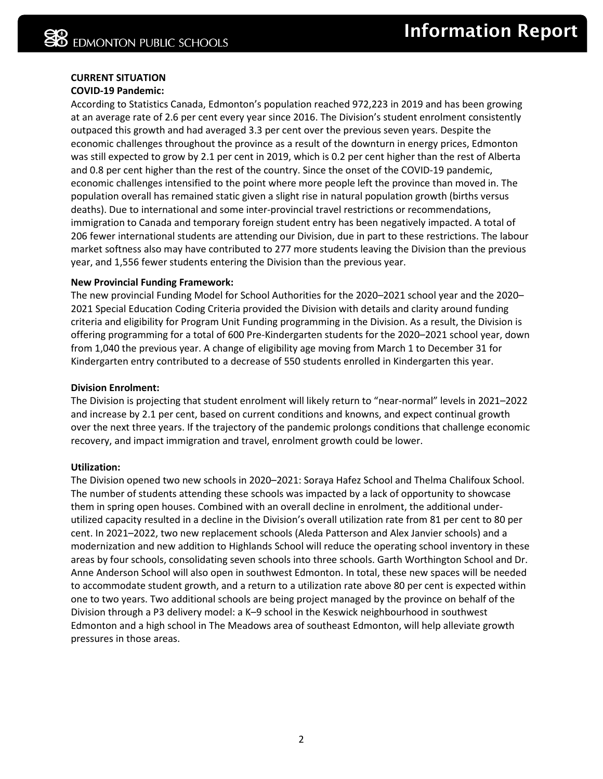# **CURRENT SITUATION**

# **COVID-19 Pandemic:**

According to Statistics Canada, Edmonton's population reached 972,223 in 2019 and has been growing at an average rate of 2.6 per cent every year since 2016. The Division's student enrolment consistently outpaced this growth and had averaged 3.3 per cent over the previous seven years. Despite the economic challenges throughout the province as a result of the downturn in energy prices, Edmonton was still expected to grow by 2.1 per cent in 2019, which is 0.2 per cent higher than the rest of Alberta and 0.8 per cent higher than the rest of the country. Since the onset of the COVID-19 pandemic, economic challenges intensified to the point where more people left the province than moved in. The population overall has remained static given a slight rise in natural population growth (births versus deaths). Due to international and some inter-provincial travel restrictions or recommendations, immigration to Canada and temporary foreign student entry has been negatively impacted. A total of 206 fewer international students are attending our Division, due in part to these restrictions. The labour market softness also may have contributed to 277 more students leaving the Division than the previous year, and 1,556 fewer students entering the Division than the previous year.

## **New Provincial Funding Framework:**

The new provincial Funding Model for School Authorities for the 2020–2021 school year and the 2020– 2021 Special Education Coding Criteria provided the Division with details and clarity around funding criteria and eligibility for Program Unit Funding programming in the Division. As a result, the Division is offering programming for a total of 600 Pre-Kindergarten students for the 2020–2021 school year, down from 1,040 the previous year. A change of eligibility age moving from March 1 to December 31 for Kindergarten entry contributed to a decrease of 550 students enrolled in Kindergarten this year.

#### **Division Enrolment:**

The Division is projecting that student enrolment will likely return to "near-normal" levels in 2021–2022 and increase by 2.1 per cent, based on current conditions and knowns, and expect continual growth over the next three years. If the trajectory of the pandemic prolongs conditions that challenge economic recovery, and impact immigration and travel, enrolment growth could be lower.

# **Utilization:**

The Division opened two new schools in 2020–2021: Soraya Hafez School and Thelma Chalifoux School. The number of students attending these schools was impacted by a lack of opportunity to showcase them in spring open houses. Combined with an overall decline in enrolment, the additional underutilized capacity resulted in a decline in the Division's overall utilization rate from 81 per cent to 80 per cent. In 2021–2022, two new replacement schools (Aleda Patterson and Alex Janvier schools) and a modernization and new addition to Highlands School will reduce the operating school inventory in these areas by four schools, consolidating seven schools into three schools. Garth Worthington School and Dr. Anne Anderson School will also open in southwest Edmonton. In total, these new spaces will be needed to accommodate student growth, and a return to a utilization rate above 80 per cent is expected within one to two years. Two additional schools are being project managed by the province on behalf of the Division through a P3 delivery model: a K–9 school in the Keswick neighbourhood in southwest Edmonton and a high school in The Meadows area of southeast Edmonton, will help alleviate growth pressures in those areas.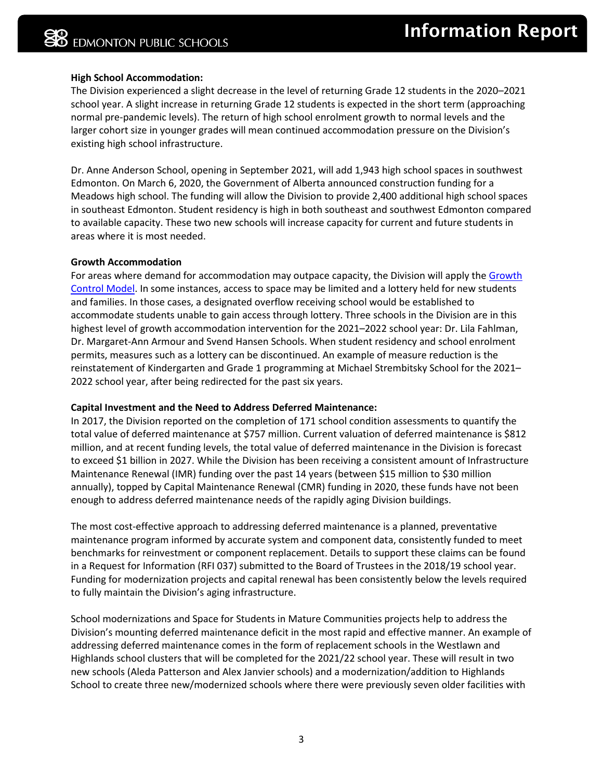## **High School Accommodation:**

The Division experienced a slight decrease in the level of returning Grade 12 students in the 2020–2021 school year. A slight increase in returning Grade 12 students is expected in the short term (approaching normal pre-pandemic levels). The return of high school enrolment growth to normal levels and the larger cohort size in younger grades will mean continued accommodation pressure on the Division's existing high school infrastructure.

Dr. Anne Anderson School, opening in September 2021, will add 1,943 high school spaces in southwest Edmonton. On March 6, 2020, the Government of Alberta announced construction funding for a Meadows high school. The funding will allow the Division to provide 2,400 additional high school spaces in southeast Edmonton. Student residency is high in both southeast and southwest Edmonton compared to available capacity. These two new schools will increase capacity for current and future students in areas where it is most needed.

#### **Growth Accommodation**

For areas where demand for accommodation may outpace capacity, the Division will apply th[e Growth](https://epsb.ca/schools/register/growthcontrolmodel/)  [Control Model.](https://epsb.ca/schools/register/growthcontrolmodel/) In some instances, access to space may be limited and a lottery held for new students and families. In those cases, a designated overflow receiving school would be established to accommodate students unable to gain access through lottery. Three schools in the Division are in this highest level of growth accommodation intervention for the 2021–2022 school year: Dr. Lila Fahlman, Dr. Margaret-Ann Armour and Svend Hansen Schools. When student residency and school enrolment permits, measures such as a lottery can be discontinued. An example of measure reduction is the reinstatement of Kindergarten and Grade 1 programming at Michael Strembitsky School for the 2021– 2022 school year, after being redirected for the past six years.

#### **Capital Investment and the Need to Address Deferred Maintenance:**

In 2017, the Division reported on the completion of 171 school condition assessments to quantify the total value of deferred maintenance at \$757 million. Current valuation of deferred maintenance is \$812 million, and at recent funding levels, the total value of deferred maintenance in the Division is forecast to exceed \$1 billion in 2027. While the Division has been receiving a consistent amount of Infrastructure Maintenance Renewal (IMR) funding over the past 14 years (between \$15 million to \$30 million annually), topped by Capital Maintenance Renewal (CMR) funding in 2020, these funds have not been enough to address deferred maintenance needs of the rapidly aging Division buildings.

The most cost-effective approach to addressing deferred maintenance is a planned, preventative maintenance program informed by accurate system and component data, consistently funded to meet benchmarks for reinvestment or component replacement. Details to support these claims can be found in a Request for Information (RFI 037) submitted to the Board of Trustees in the 2018/19 school year. Funding for modernization projects and capital renewal has been consistently below the levels required to fully maintain the Division's aging infrastructure.

School modernizations and Space for Students in Mature Communities projects help to address the Division's mounting deferred maintenance deficit in the most rapid and effective manner. An example of addressing deferred maintenance comes in the form of replacement schools in the Westlawn and Highlands school clusters that will be completed for the 2021/22 school year. These will result in two new schools (Aleda Patterson and Alex Janvier schools) and a modernization/addition to Highlands School to create three new/modernized schools where there were previously seven older facilities with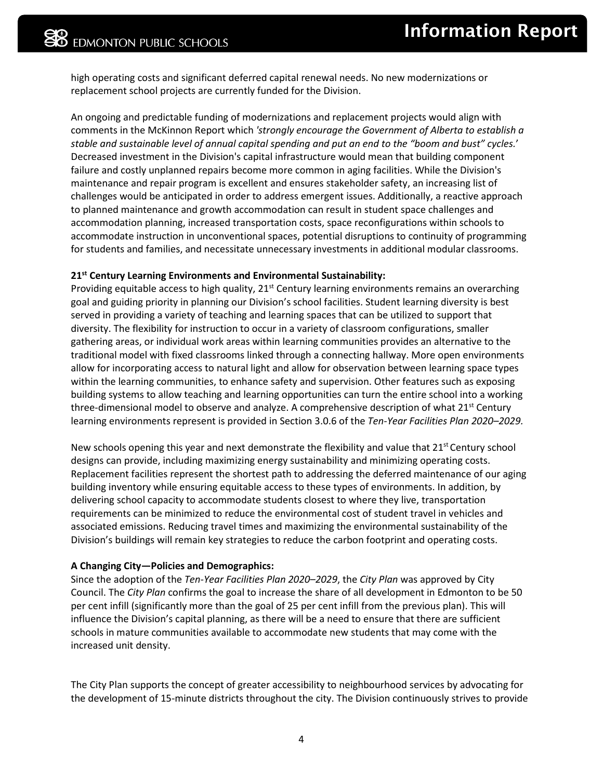high operating costs and significant deferred capital renewal needs. No new modernizations or replacement school projects are currently funded for the Division.

An ongoing and predictable funding of modernizations and replacement projects would align with comments in the McKinnon Report which *'strongly encourage the Government of Alberta to establish a stable and sustainable level of annual capital spending and put an end to the "boom and bust" cycles.*' Decreased investment in the Division's capital infrastructure would mean that building component failure and costly unplanned repairs become more common in aging facilities. While the Division's maintenance and repair program is excellent and ensures stakeholder safety, an increasing list of challenges would be anticipated in order to address emergent issues. Additionally, a reactive approach to planned maintenance and growth accommodation can result in student space challenges and accommodation planning, increased transportation costs, space reconfigurations within schools to accommodate instruction in unconventional spaces, potential disruptions to continuity of programming for students and families, and necessitate unnecessary investments in additional modular classrooms.

## **21st Century Learning Environments and Environmental Sustainability:**

Providing equitable access to high quality,  $21<sup>st</sup>$  Century learning environments remains an overarching goal and guiding priority in planning our Division's school facilities. Student learning diversity is best served in providing a variety of teaching and learning spaces that can be utilized to support that diversity. The flexibility for instruction to occur in a variety of classroom configurations, smaller gathering areas, or individual work areas within learning communities provides an alternative to the traditional model with fixed classrooms linked through a connecting hallway. More open environments allow for incorporating access to natural light and allow for observation between learning space types within the learning communities, to enhance safety and supervision. Other features such as exposing building systems to allow teaching and learning opportunities can turn the entire school into a working three-dimensional model to observe and analyze. A comprehensive description of what  $21^{st}$  Century learning environments represent is provided in Section 3.0.6 of the *Ten-Year Facilities Plan 2020–2029.*

New schools opening this year and next demonstrate the flexibility and value that  $21^{st}$  Century school designs can provide, including maximizing energy sustainability and minimizing operating costs. Replacement facilities represent the shortest path to addressing the deferred maintenance of our aging building inventory while ensuring equitable access to these types of environments. In addition, by delivering school capacity to accommodate students closest to where they live, transportation requirements can be minimized to reduce the environmental cost of student travel in vehicles and associated emissions. Reducing travel times and maximizing the environmental sustainability of the Division's buildings will remain key strategies to reduce the carbon footprint and operating costs.

# **A Changing City—Policies and Demographics:**

Since the adoption of the *Ten-Year Facilities Plan 2020–2029*, the *City Plan* was approved by City Council. The *City Plan* confirms the goal to increase the share of all development in Edmonton to be 50 per cent infill (significantly more than the goal of 25 per cent infill from the previous plan). This will influence the Division's capital planning, as there will be a need to ensure that there are sufficient schools in mature communities available to accommodate new students that may come with the increased unit density.

The City Plan supports the concept of greater accessibility to neighbourhood services by advocating for the development of 15-minute districts throughout the city. The Division continuously strives to provide